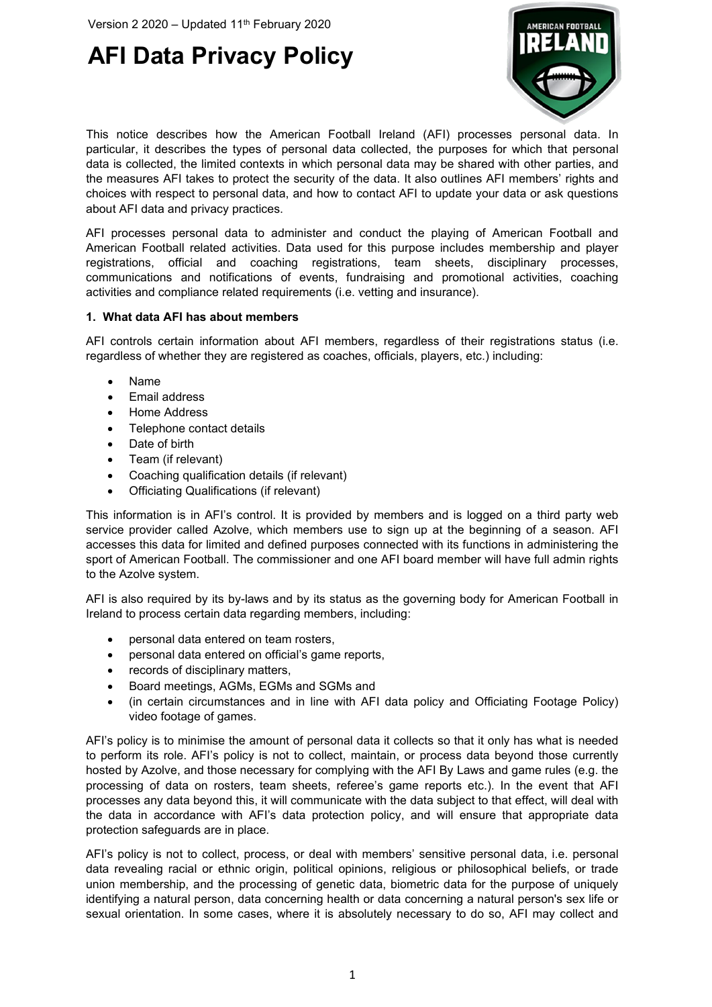

This notice describes how the American Football Ireland (AFI) processes personal data. In particular, it describes the types of personal data collected, the purposes for which that personal data is collected, the limited contexts in which personal data may be shared with other parties, and the measures AFI takes to protect the security of the data. It also outlines AFI members' rights and choices with respect to personal data, and how to contact AFI to update your data or ask questions about AFI data and privacy practices.

AFI processes personal data to administer and conduct the playing of American Football and American Football related activities. Data used for this purpose includes membership and player registrations, official and coaching registrations, team sheets, disciplinary processes, communications and notifications of events, fundraising and promotional activities, coaching activities and compliance related requirements (i.e. vetting and insurance).

### **1. What data AFI has about members**

AFI controls certain information about AFI members, regardless of their registrations status (i.e. regardless of whether they are registered as coaches, officials, players, etc.) including:

- Name
- Email address
- Home Address
- Telephone contact details
- Date of birth
- Team (if relevant)
- Coaching qualification details (if relevant)
- Officiating Qualifications (if relevant)

This information is in AFI's control. It is provided by members and is logged on a third party web service provider called Azolve, which members use to sign up at the beginning of a season. AFI accesses this data for limited and defined purposes connected with its functions in administering the sport of American Football. The commissioner and one AFI board member will have full admin rights to the Azolve system.

AFI is also required by its by-laws and by its status as the governing body for American Football in Ireland to process certain data regarding members, including:

- personal data entered on team rosters,
- personal data entered on official's game reports,
- records of disciplinary matters,
- Board meetings, AGMs, EGMs and SGMs and
- (in certain circumstances and in line with AFI data policy and Officiating Footage Policy) video footage of games.

AFI's policy is to minimise the amount of personal data it collects so that it only has what is needed to perform its role. AFI's policy is not to collect, maintain, or process data beyond those currently hosted by Azolve, and those necessary for complying with the AFI By Laws and game rules (e.g. the processing of data on rosters, team sheets, referee's game reports etc.). In the event that AFI processes any data beyond this, it will communicate with the data subject to that effect, will deal with the data in accordance with AFI's data protection policy, and will ensure that appropriate data protection safeguards are in place.

AFI's policy is not to collect, process, or deal with members' sensitive personal data, i.e. personal data revealing racial or ethnic origin, political opinions, religious or philosophical beliefs, or trade union membership, and the processing of genetic data, biometric data for the purpose of uniquely identifying a natural person, data concerning health or data concerning a natural person's sex life or sexual orientation. In some cases, where it is absolutely necessary to do so, AFI may collect and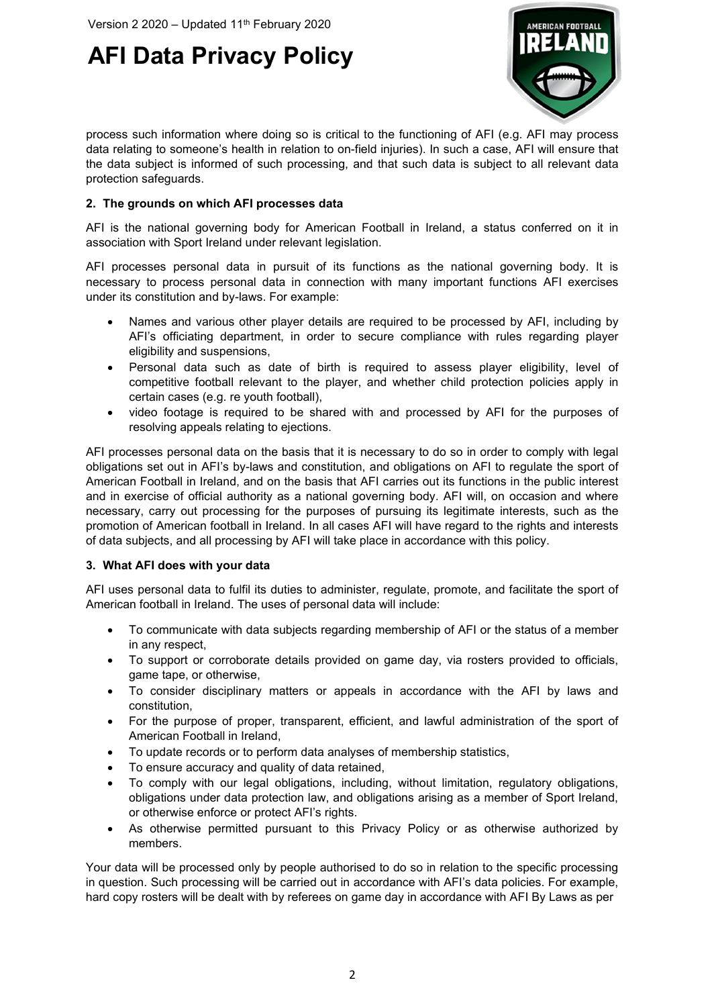

process such information where doing so is critical to the functioning of AFI (e.g. AFI may process data relating to someone's health in relation to on-field injuries). In such a case, AFI will ensure that the data subject is informed of such processing, and that such data is subject to all relevant data protection safeguards.

### **2. The grounds on which AFI processes data**

AFI is the national governing body for American Football in Ireland, a status conferred on it in association with Sport Ireland under relevant legislation.

AFI processes personal data in pursuit of its functions as the national governing body. It is necessary to process personal data in connection with many important functions AFI exercises under its constitution and by-laws. For example:

- Names and various other player details are required to be processed by AFI, including by AFI's officiating department, in order to secure compliance with rules regarding player eligibility and suspensions,
- Personal data such as date of birth is required to assess player eligibility, level of competitive football relevant to the player, and whether child protection policies apply in certain cases (e.g. re youth football),
- video footage is required to be shared with and processed by AFI for the purposes of resolving appeals relating to ejections.

AFI processes personal data on the basis that it is necessary to do so in order to comply with legal obligations set out in AFI's by-laws and constitution, and obligations on AFI to regulate the sport of American Football in Ireland, and on the basis that AFI carries out its functions in the public interest and in exercise of official authority as a national governing body. AFI will, on occasion and where necessary, carry out processing for the purposes of pursuing its legitimate interests, such as the promotion of American football in Ireland. In all cases AFI will have regard to the rights and interests of data subjects, and all processing by AFI will take place in accordance with this policy.

#### **3. What AFI does with your data**

AFI uses personal data to fulfil its duties to administer, regulate, promote, and facilitate the sport of American football in Ireland. The uses of personal data will include:

- To communicate with data subjects regarding membership of AFI or the status of a member in any respect,
- To support or corroborate details provided on game day, via rosters provided to officials, game tape, or otherwise,
- To consider disciplinary matters or appeals in accordance with the AFI by laws and constitution,
- For the purpose of proper, transparent, efficient, and lawful administration of the sport of American Football in Ireland,
- To update records or to perform data analyses of membership statistics,
- To ensure accuracy and quality of data retained,
- To comply with our legal obligations, including, without limitation, regulatory obligations, obligations under data protection law, and obligations arising as a member of Sport Ireland, or otherwise enforce or protect AFI's rights.
- As otherwise permitted pursuant to this Privacy Policy or as otherwise authorized by members.

Your data will be processed only by people authorised to do so in relation to the specific processing in question. Such processing will be carried out in accordance with AFI's data policies. For example, hard copy rosters will be dealt with by referees on game day in accordance with AFI By Laws as per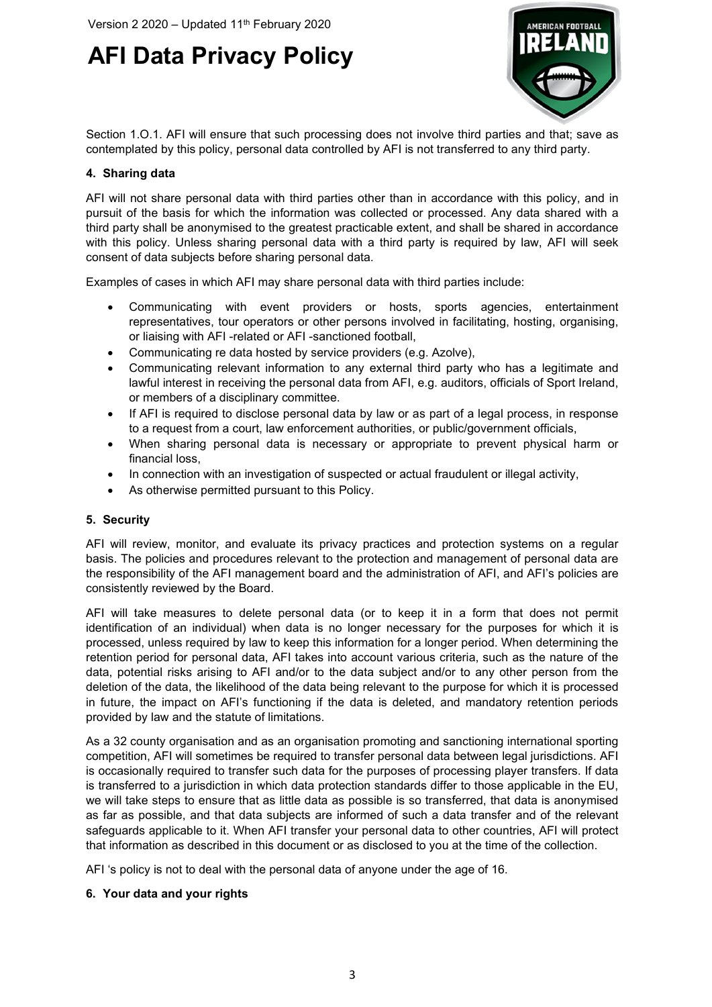

Section 1.O.1. AFI will ensure that such processing does not involve third parties and that; save as contemplated by this policy, personal data controlled by AFI is not transferred to any third party.

### **4. Sharing data**

AFI will not share personal data with third parties other than in accordance with this policy, and in pursuit of the basis for which the information was collected or processed. Any data shared with a third party shall be anonymised to the greatest practicable extent, and shall be shared in accordance with this policy. Unless sharing personal data with a third party is required by law, AFI will seek consent of data subjects before sharing personal data.

Examples of cases in which AFI may share personal data with third parties include:

- Communicating with event providers or hosts, sports agencies, entertainment representatives, tour operators or other persons involved in facilitating, hosting, organising, or liaising with AFI -related or AFI -sanctioned football,
- Communicating re data hosted by service providers (e.g. Azolve),
- Communicating relevant information to any external third party who has a legitimate and lawful interest in receiving the personal data from AFI, e.g. auditors, officials of Sport Ireland, or members of a disciplinary committee.
- If AFI is required to disclose personal data by law or as part of a legal process, in response to a request from a court, law enforcement authorities, or public/government officials,
- When sharing personal data is necessary or appropriate to prevent physical harm or financial loss,
- In connection with an investigation of suspected or actual fraudulent or illegal activity,
- As otherwise permitted pursuant to this Policy.

#### **5. Security**

AFI will review, monitor, and evaluate its privacy practices and protection systems on a regular basis. The policies and procedures relevant to the protection and management of personal data are the responsibility of the AFI management board and the administration of AFI, and AFI's policies are consistently reviewed by the Board.

AFI will take measures to delete personal data (or to keep it in a form that does not permit identification of an individual) when data is no longer necessary for the purposes for which it is processed, unless required by law to keep this information for a longer period. When determining the retention period for personal data, AFI takes into account various criteria, such as the nature of the data, potential risks arising to AFI and/or to the data subject and/or to any other person from the deletion of the data, the likelihood of the data being relevant to the purpose for which it is processed in future, the impact on AFI's functioning if the data is deleted, and mandatory retention periods provided by law and the statute of limitations.

As a 32 county organisation and as an organisation promoting and sanctioning international sporting competition, AFI will sometimes be required to transfer personal data between legal jurisdictions. AFI is occasionally required to transfer such data for the purposes of processing player transfers. If data is transferred to a jurisdiction in which data protection standards differ to those applicable in the EU, we will take steps to ensure that as little data as possible is so transferred, that data is anonymised as far as possible, and that data subjects are informed of such a data transfer and of the relevant safeguards applicable to it. When AFI transfer your personal data to other countries, AFI will protect that information as described in this document or as disclosed to you at the time of the collection.

AFI 's policy is not to deal with the personal data of anyone under the age of 16.

#### **6. Your data and your rights**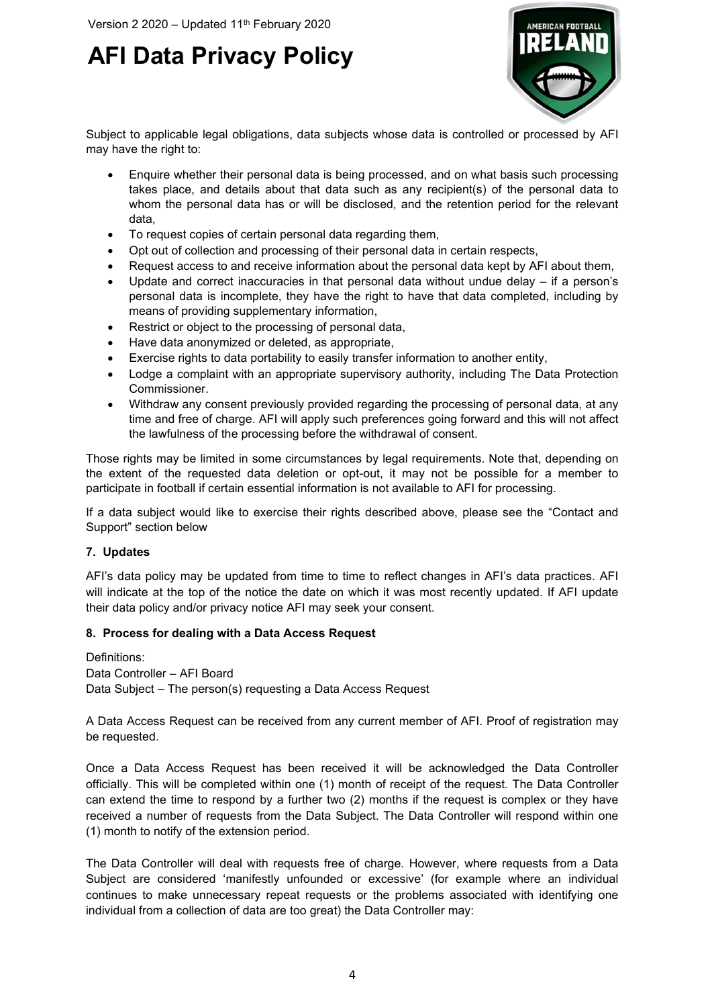

Subject to applicable legal obligations, data subjects whose data is controlled or processed by AFI may have the right to:

- Enquire whether their personal data is being processed, and on what basis such processing takes place, and details about that data such as any recipient(s) of the personal data to whom the personal data has or will be disclosed, and the retention period for the relevant data,
- To request copies of certain personal data regarding them,
- Opt out of collection and processing of their personal data in certain respects,
- Request access to and receive information about the personal data kept by AFI about them,
- Update and correct inaccuracies in that personal data without undue delay  $-$  if a person's personal data is incomplete, they have the right to have that data completed, including by means of providing supplementary information,
- Restrict or object to the processing of personal data,
- Have data anonymized or deleted, as appropriate,
- Exercise rights to data portability to easily transfer information to another entity,
- Lodge a complaint with an appropriate supervisory authority, including The Data Protection Commissioner.
- Withdraw any consent previously provided regarding the processing of personal data, at any time and free of charge. AFI will apply such preferences going forward and this will not affect the lawfulness of the processing before the withdrawal of consent.

Those rights may be limited in some circumstances by legal requirements. Note that, depending on the extent of the requested data deletion or opt-out, it may not be possible for a member to participate in football if certain essential information is not available to AFI for processing.

If a data subject would like to exercise their rights described above, please see the "Contact and Support" section below

#### **7. Updates**

AFI's data policy may be updated from time to time to reflect changes in AFI's data practices. AFI will indicate at the top of the notice the date on which it was most recently updated. If AFI update their data policy and/or privacy notice AFI may seek your consent.

#### **8. Process for dealing with a Data Access Request**

Definitions: Data Controller – AFI Board Data Subject – The person(s) requesting a Data Access Request

A Data Access Request can be received from any current member of AFI. Proof of registration may be requested.

Once a Data Access Request has been received it will be acknowledged the Data Controller officially. This will be completed within one (1) month of receipt of the request. The Data Controller can extend the time to respond by a further two (2) months if the request is complex or they have received a number of requests from the Data Subject. The Data Controller will respond within one (1) month to notify of the extension period.

The Data Controller will deal with requests free of charge. However, where requests from a Data Subject are considered 'manifestly unfounded or excessive' (for example where an individual continues to make unnecessary repeat requests or the problems associated with identifying one individual from a collection of data are too great) the Data Controller may: